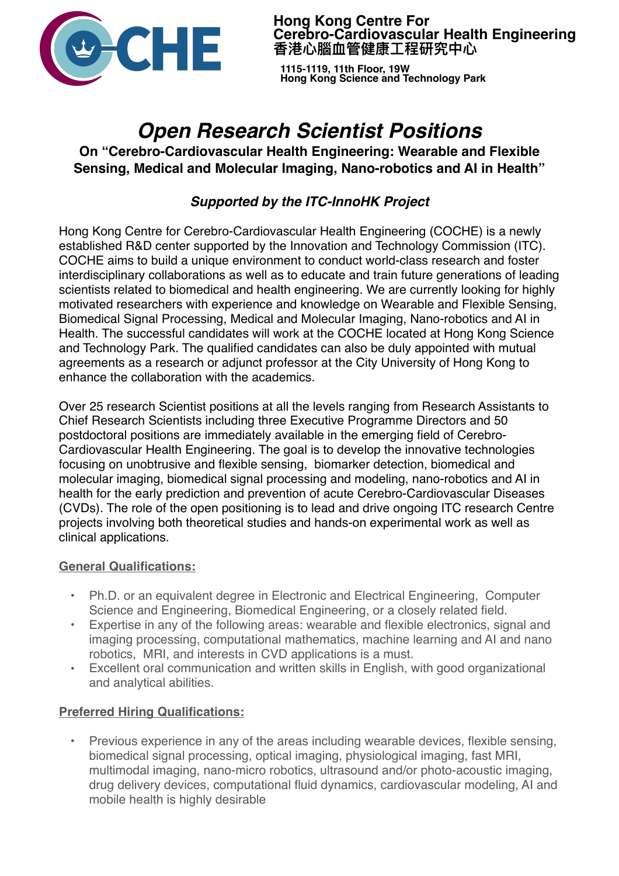

**Hong Kong Centre For Cerebro-Cardiovascular Health Engineering**  香港心腦血管健康工程研究中心

**1115-1119, 11th Floor, 19W Hong Kong Science and Technology Park**

# *Open Research Scientist Positions*

**On "Cerebro-Cardiovascular Health Engineering: Wearable and Flexible Sensing, Medical and Molecular Imaging, Nano-robotics and AI in Health''** 

# *Supported by the ITC-InnoHK Project*

Hong Kong Centre for Cerebro-Cardiovascular Health Engineering (COCHE) is a newly established R&D center supported by the Innovation and Technology Commission (ITC). COCHE aims to build a unique environment to conduct world-class research and foster interdisciplinary collaborations as well as to educate and train future generations of leading scientists related to biomedical and health engineering. We are currently looking for highly motivated researchers with experience and knowledge on Wearable and Flexible Sensing, Biomedical Signal Processing, Medical and Molecular Imaging, Nano-robotics and AI in Health. The successful candidates will work at the COCHE located at Hong Kong Science and Technology Park. The qualified candidates can also be duly appointed with mutual agreements as a research or adjunct professor at the City University of Hong Kong to enhance the collaboration with the academics.

Over 25 research Scientist positions at all the levels ranging from Research Assistants to Chief Research Scientists including three Executive Programme Directors and 50 postdoctoral positions are immediately available in the emerging field of Cerebro-Cardiovascular Health Engineering. The goal is to develop the innovative technologies focusing on unobtrusive and flexible sensing, biomarker detection, biomedical and molecular imaging, biomedical signal processing and modeling, nano-robotics and AI in health for the early prediction and prevention of acute Cerebro-Cardiovascular Diseases (CVDs). The role of the open positioning is to lead and drive ongoing ITC research Centre projects involving both theoretical studies and hands-on experimental work as well as clinical applications.

#### **General Qualifications:**

- Ph.D. or an equivalent degree in Electronic and Electrical Engineering, Computer Science and Engineering, Biomedical Engineering, or a closely related field.
- Expertise in any of the following areas: wearable and flexible electronics, signal and imaging processing, computational mathematics, machine learning and AI and nano robotics, MRI, and interests in CVD applications is a must.
- Excellent oral communication and written skills in English, with good organizational and analytical abilities.

## **Preferred Hiring Qualifications:**

• Previous experience in any of the areas including wearable devices, flexible sensing, biomedical signal processing, optical imaging, physiological imaging, fast MRI, multimodal imaging, nano-micro robotics, ultrasound and/or photo-acoustic imaging, drug delivery devices, computational fluid dynamics, cardiovascular modeling, AI and mobile health is highly desirable